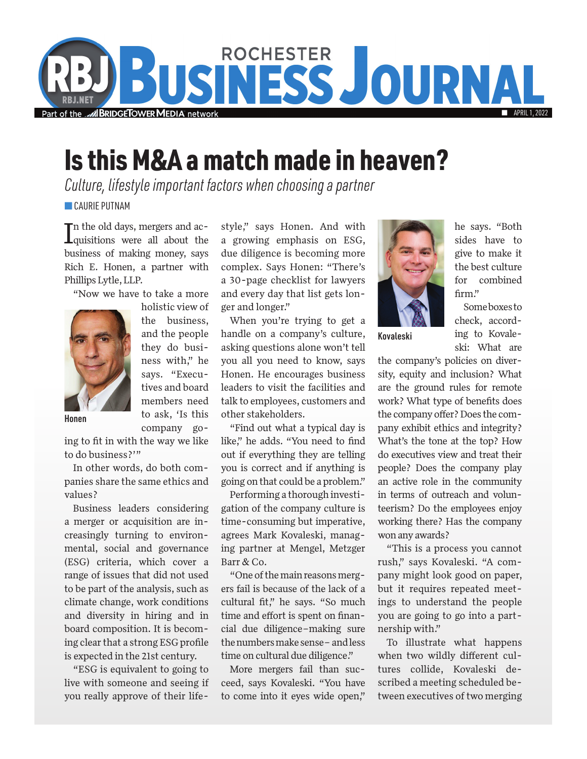

## Is this M&A a match made in heaven?

*Culture, lifestyle important factors when choosing a partner*

**CAURIE PUTNAM** 

In the old days, mergers and ac-<br>Iquisitions were all about the quisitions were all about the business of making money, says Rich E. Honen, a partner with Phillips Lytle, LLP.

"Now we have to take a more



holistic view of the business, and the people they do business with," he says. "Executives and board members need to ask, 'Is this company go-

Honen

ing to fit in with the way we like to do business?'"

In other words, do both companies share the same ethics and values?

Business leaders considering a merger or acquisition are increasingly turning to environmental, social and governance (ESG) criteria, which cover a range of issues that did not used to be part of the analysis, such as climate change, work conditions and diversity in hiring and in board composition. It is becoming clear that a strong ESG profile is expected in the 21st century.

"ESG is equivalent to going to live with someone and seeing if you really approve of their life-

style," says Honen. And with a growing emphasis on ESG, due diligence is becoming more complex. Says Honen: "There's a 30-page checklist for lawyers and every day that list gets longer and longer."

When you're trying to get a handle on a company's culture, asking questions alone won't tell you all you need to know, says Honen. He encourages business leaders to visit the facilities and talk to employees, customers and other stakeholders.

"Find out what a typical day is like," he adds. "You need to find out if everything they are telling you is correct and if anything is going on that could be a problem."

Performing a thorough investigation of the company culture is time-consuming but imperative, agrees Mark Kovaleski, managing partner at Mengel, Metzger Barr & Co.

"One of the main reasons mergers fail is because of the lack of a cultural fit," he says. "So much time and effort is spent on financial due diligence–making sure the numbers make sense– and less time on cultural due diligence."

More mergers fail than succeed, says Kovaleski. "You have to come into it eyes wide open,"



he says. "Both sides have to give to make it the best culture for combined firm."

Some boxes to check, according to Kovaleski: What are

Kovaleski

the company's policies on diversity, equity and inclusion? What are the ground rules for remote work? What type of benefits does the company offer? Does the company exhibit ethics and integrity? What's the tone at the top? How do executives view and treat their people? Does the company play an active role in the community in terms of outreach and volunteerism? Do the employees enjoy working there? Has the company won any awards?

"This is a process you cannot rush," says Kovaleski. "A company might look good on paper, but it requires repeated meetings to understand the people you are going to go into a partnership with."

To illustrate what happens when two wildly different cultures collide, Kovaleski described a meeting scheduled between executives of two merging